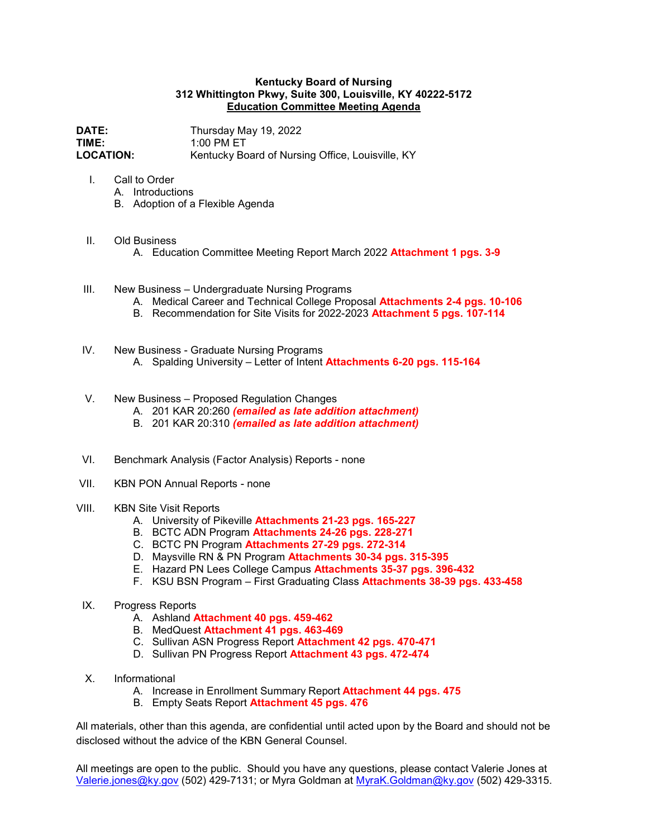## **Kentucky Board of Nursing 312 Whittington Pkwy, Suite 300, Louisville, KY 40222-5172 Education Committee Meeting Agenda**

**DATE:** Thursday May 19, 2022<br>**TIME:** 1:00 PM ET **TIME:** 1:00 PM ET<br> **LOCATION:** Kentucky Bo Kentucky Board of Nursing Office, Louisville, KY

- I. Call to Order
	- A. Introductions
	- B. Adoption of a Flexible Agenda
- II. Old Business
	- A. Education Committee Meeting Report March 2022 **Attachment 1 pgs. 3-9**
- III. New Business Undergraduate Nursing Programs
	- A. Medical Career and Technical College Proposal **Attachments 2-4 pgs. 10-106**
	- B. Recommendation for Site Visits for 2022-2023 **Attachment 5 pgs. 107-114**
- IV. New Business Graduate Nursing Programs A. Spalding University – Letter of Intent **Attachments 6-20 pgs. 115-164**
- V. New Business Proposed Regulation Changes
	- A. 201 KAR 20:260 *(emailed as late addition attachment)*
	- B. 201 KAR 20:310 *(emailed as late addition attachment)*
- VI. Benchmark Analysis (Factor Analysis) Reports none
- VII. KBN PON Annual Reports none
- VIII. KBN Site Visit Reports
	- A. University of Pikeville **Attachments 21-23 pgs. 165-227**
	- B. BCTC ADN Program **Attachments 24-26 pgs. 228-271**
	- C. BCTC PN Program **Attachments 27-29 pgs. 272-314**
	- D. Maysville RN & PN Program **Attachments 30-34 pgs. 315-395**
	- E. Hazard PN Lees College Campus **Attachments 35-37 pgs. 396-432**
	- F. KSU BSN Program First Graduating Class **Attachments 38-39 pgs. 433-458**
- IX. Progress Reports
	- A. Ashland **Attachment 40 pgs. 459-462**
	- B. MedQuest **Attachment 41 pgs. 463-469**
	- C. Sullivan ASN Progress Report **Attachment 42 pgs. 470-471**
	- D. Sullivan PN Progress Report **Attachment 43 pgs. 472-474**
- X. Informational
	- A. Increase in Enrollment Summary Report **Attachment 44 pgs. 475**
	- B. Empty Seats Report **Attachment 45 pgs. 476**

All materials, other than this agenda, are confidential until acted upon by the Board and should not be disclosed without the advice of the KBN General Counsel.

All meetings are open to the public. Should you have any questions, please contact Valerie Jones at [Valerie.jones@ky.gov](mailto:Valerie.jones@ky.gov) (502) 429-7131; or Myra Goldman at [MyraK.Goldman@ky.gov](mailto:MyraK.Goldman@ky.gov) (502) 429-3315.